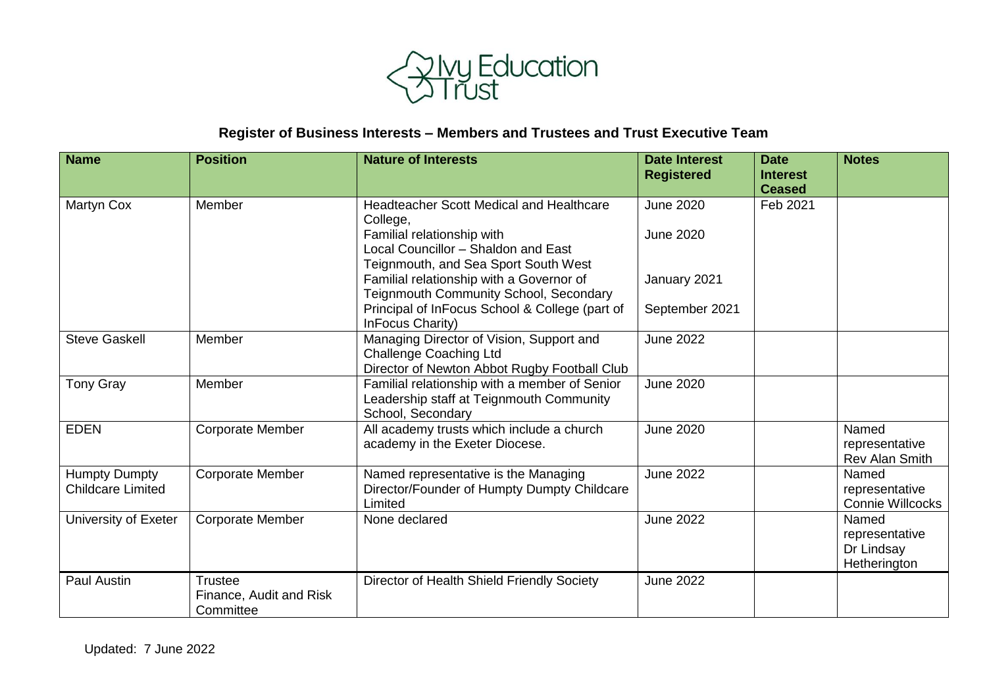

## **Register of Business Interests – Members and Trustees and Trust Executive Team**

| <b>Name</b>                                      | <b>Position</b>                                        | <b>Nature of Interests</b>                                                                                                                                                                                           | <b>Date Interest</b><br><b>Registered</b>            | <b>Date</b><br><b>Interest</b><br><b>Ceased</b> | <b>Notes</b>                                          |
|--------------------------------------------------|--------------------------------------------------------|----------------------------------------------------------------------------------------------------------------------------------------------------------------------------------------------------------------------|------------------------------------------------------|-------------------------------------------------|-------------------------------------------------------|
| Martyn Cox                                       | Member                                                 | <b>Headteacher Scott Medical and Healthcare</b><br>College,<br>Familial relationship with<br>Local Councillor - Shaldon and East<br>Teignmouth, and Sea Sport South West<br>Familial relationship with a Governor of | <b>June 2020</b><br><b>June 2020</b><br>January 2021 | Feb 2021                                        |                                                       |
|                                                  |                                                        | Teignmouth Community School, Secondary<br>Principal of InFocus School & College (part of<br>InFocus Charity)                                                                                                         | September 2021                                       |                                                 |                                                       |
| <b>Steve Gaskell</b>                             | Member                                                 | Managing Director of Vision, Support and<br><b>Challenge Coaching Ltd</b><br>Director of Newton Abbot Rugby Football Club                                                                                            | <b>June 2022</b>                                     |                                                 |                                                       |
| <b>Tony Gray</b>                                 | Member                                                 | Familial relationship with a member of Senior<br>Leadership staff at Teignmouth Community<br>School, Secondary                                                                                                       | <b>June 2020</b>                                     |                                                 |                                                       |
| <b>EDEN</b>                                      | Corporate Member                                       | All academy trusts which include a church<br>academy in the Exeter Diocese.                                                                                                                                          | <b>June 2020</b>                                     |                                                 | Named<br>representative<br><b>Rev Alan Smith</b>      |
| <b>Humpty Dumpty</b><br><b>Childcare Limited</b> | <b>Corporate Member</b>                                | Named representative is the Managing<br>Director/Founder of Humpty Dumpty Childcare<br>Limited                                                                                                                       | <b>June 2022</b>                                     |                                                 | Named<br>representative<br><b>Connie Willcocks</b>    |
| University of Exeter                             | <b>Corporate Member</b>                                | None declared                                                                                                                                                                                                        | <b>June 2022</b>                                     |                                                 | Named<br>representative<br>Dr Lindsay<br>Hetherington |
| <b>Paul Austin</b>                               | <b>Trustee</b><br>Finance, Audit and Risk<br>Committee | Director of Health Shield Friendly Society                                                                                                                                                                           | <b>June 2022</b>                                     |                                                 |                                                       |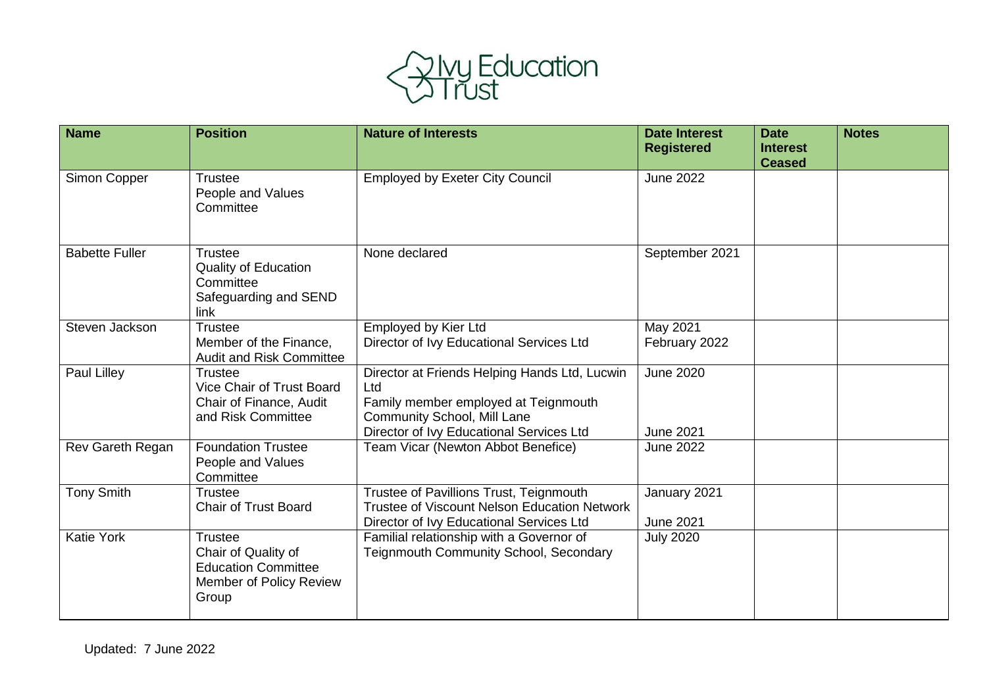

| <b>Name</b>             | <b>Position</b>                                                                                  | <b>Nature of Interests</b>                                                                                                                                                     | <b>Date Interest</b><br><b>Registered</b> | <b>Date</b><br><b>Interest</b> | <b>Notes</b> |
|-------------------------|--------------------------------------------------------------------------------------------------|--------------------------------------------------------------------------------------------------------------------------------------------------------------------------------|-------------------------------------------|--------------------------------|--------------|
| Simon Copper            | <b>Trustee</b><br>People and Values<br>Committee                                                 | <b>Employed by Exeter City Council</b>                                                                                                                                         | <b>June 2022</b>                          | <b>Ceased</b>                  |              |
| <b>Babette Fuller</b>   | <b>Trustee</b><br><b>Quality of Education</b><br>Committee<br>Safeguarding and SEND<br>link      | None declared                                                                                                                                                                  | September 2021                            |                                |              |
| Steven Jackson          | <b>Trustee</b><br>Member of the Finance,<br><b>Audit and Risk Committee</b>                      | Employed by Kier Ltd<br>Director of Ivy Educational Services Ltd                                                                                                               | May 2021<br>February 2022                 |                                |              |
| Paul Lilley             | <b>Trustee</b><br>Vice Chair of Trust Board<br>Chair of Finance, Audit<br>and Risk Committee     | Director at Friends Helping Hands Ltd, Lucwin<br>Ltd<br>Family member employed at Teignmouth<br><b>Community School, Mill Lane</b><br>Director of Ivy Educational Services Ltd | <b>June 2020</b><br><b>June 2021</b>      |                                |              |
| <b>Rev Gareth Regan</b> | <b>Foundation Trustee</b><br>People and Values<br>Committee                                      | Team Vicar (Newton Abbot Benefice)                                                                                                                                             | <b>June 2022</b>                          |                                |              |
| <b>Tony Smith</b>       | <b>Trustee</b><br><b>Chair of Trust Board</b>                                                    | Trustee of Pavillions Trust, Teignmouth<br>Trustee of Viscount Nelson Education Network<br>Director of Ivy Educational Services Ltd                                            | January 2021<br><b>June 2021</b>          |                                |              |
| <b>Katie York</b>       | Trustee<br>Chair of Quality of<br><b>Education Committee</b><br>Member of Policy Review<br>Group | Familial relationship with a Governor of<br>Teignmouth Community School, Secondary                                                                                             | <b>July 2020</b>                          |                                |              |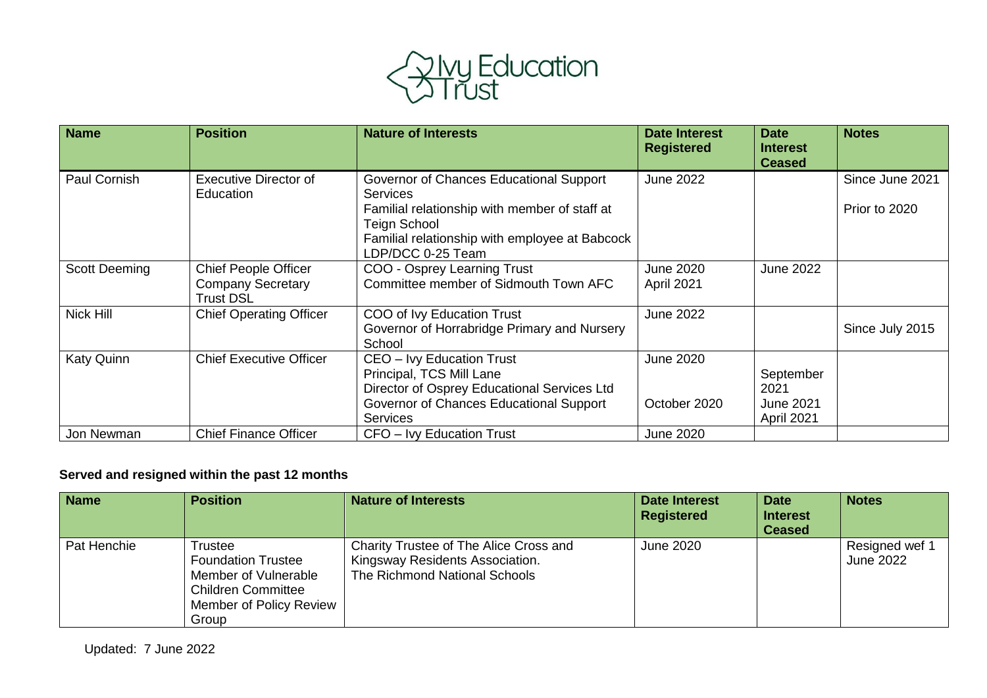

| <b>Name</b>          | <b>Position</b>                                                             | <b>Nature of Interests</b>                                                                                                                                                                                | <b>Date Interest</b><br><b>Registered</b> | <b>Date</b><br><b>Interest</b><br><b>Ceased</b>     | <b>Notes</b>                     |
|----------------------|-----------------------------------------------------------------------------|-----------------------------------------------------------------------------------------------------------------------------------------------------------------------------------------------------------|-------------------------------------------|-----------------------------------------------------|----------------------------------|
| Paul Cornish         | <b>Executive Director of</b><br>Education                                   | Governor of Chances Educational Support<br><b>Services</b><br>Familial relationship with member of staff at<br><b>Teign School</b><br>Familial relationship with employee at Babcock<br>LDP/DCC 0-25 Team | <b>June 2022</b>                          |                                                     | Since June 2021<br>Prior to 2020 |
| <b>Scott Deeming</b> | <b>Chief People Officer</b><br><b>Company Secretary</b><br><b>Trust DSL</b> | COO - Osprey Learning Trust<br>Committee member of Sidmouth Town AFC                                                                                                                                      | <b>June 2020</b><br>April 2021            | <b>June 2022</b>                                    |                                  |
| Nick Hill            | <b>Chief Operating Officer</b>                                              | COO of Ivy Education Trust<br>Governor of Horrabridge Primary and Nursery<br>School                                                                                                                       | <b>June 2022</b>                          |                                                     | Since July 2015                  |
| Katy Quinn           | <b>Chief Executive Officer</b>                                              | CEO - Ivy Education Trust<br>Principal, TCS Mill Lane<br>Director of Osprey Educational Services Ltd<br>Governor of Chances Educational Support<br><b>Services</b>                                        | <b>June 2020</b><br>October 2020          | September<br>2021<br><b>June 2021</b><br>April 2021 |                                  |
| Jon Newman           | <b>Chief Finance Officer</b>                                                | CFO - Ivy Education Trust                                                                                                                                                                                 | <b>June 2020</b>                          |                                                     |                                  |

## **Served and resigned within the past 12 months**

| <b>Name</b> | <b>Position</b>                                                                                                               | <b>Nature of Interests</b>                                                                                 | <b>Date Interest</b><br><b>Registered</b> | <b>Date</b><br><b>Interest</b><br><b>Ceased</b> | <b>Notes</b>                       |
|-------------|-------------------------------------------------------------------------------------------------------------------------------|------------------------------------------------------------------------------------------------------------|-------------------------------------------|-------------------------------------------------|------------------------------------|
| Pat Henchie | Trustee<br><b>Foundation Trustee</b><br>Member of Vulnerable<br><b>Children Committee</b><br>Member of Policy Review<br>Group | Charity Trustee of The Alice Cross and<br>Kingsway Residents Association.<br>The Richmond National Schools | June 2020                                 |                                                 | Resigned wef 1<br><b>June 2022</b> |